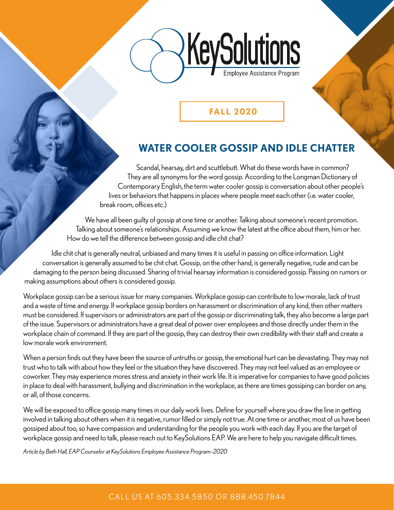

### **FALL 2020**

# **WATER COOLER GOSSIP AND IDLE CHATTER**

Scandal, hearsay, dirt and scuttlebutt. What do these words have in common? They are all synonyms for the word gossip. According to the Longman Dictionary of Contemporary English, the term water cooler gossip is conversation about other people's lives or behaviors that happens in places where people meet each other (i.e. water cooler, break room, offices etc.)

We have all been guilty of gossip at one time or another. Talking about someone's recent promotion. Talking about someone's relationships. Assuming we know the latest at the office about them, him or her. How do we tell the difference between gossip and idle chit chat?

Idle chit chat is generally neutral, unbiased and many times it is useful in passing on office information. Light conversation is generally assumed to be chit chat. Gossip, on the other hand, is generally negative, rude and can be damaging to the person being discussed. Sharing of trivial hearsay information is considered gossip. Passing on rumors or making assumptions about others is considered gossip.

Workplace gossip can be a serious issue for many companies. Workplace gossip can contribute to low morale, lack of trust and a waste of time and energy. If workplace gossip borders on harassment or discrimination of any kind, then other matters must be considered. If supervisors or administrators are part of the gossip or discriminating talk, they also become a large part of the issue. Supervisors or administrators have a great deal of power over employees and those directly under them in the workplace chain of command. If they are part of the gossip, they can destroy their own credibility with their staff and create a low morale work environment.

When a person finds out they have been the source of untruths or gossip, the emotional hurt can be devastating. They may not trust who to talk with about how they feel or the situation they have discovered. They may not feel valued as an employee or coworker. They may experience mores stress and anxiety in their work life. It is imperative for companies to have good policies in place to deal with harassment, bullying and discrimination in the workplace, as there are times gossiping can border on any, or all, of those concerns.

We will be exposed to office gossip many times in our daily work lives. Define for yourself where you draw the line in getting involved in talking about others when it is negative, rumor filled or simply not true. At one time or another, most of us have been gossiped about too, so have compassion and understanding for the people you work with each day. If you are the target of workplace gossip and need to talk, please reach out to KeySolutions EAP. We are here to help you navigate difficult times.

*Article by Beth Hall, EAP Counselor at KeySolutions Employee Assistance Program–2020*

### CALL US AT 605.33 4.5850 OR 888.450.7844